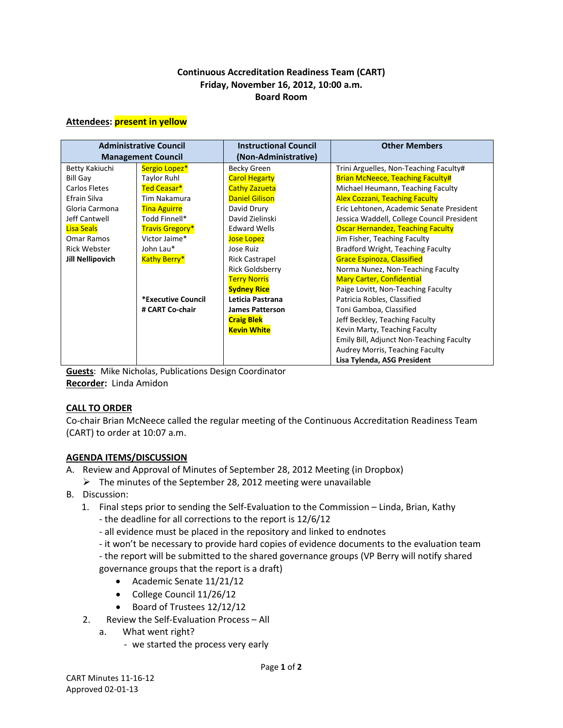# **Continuous Accreditation Readiness Team (CART) Friday, November 16, 2012, 10:00 a.m. Board Room**

#### **Attendees: present in yellow**

| <b>Administrative Council</b><br><b>Management Council</b> |                        | <b>Instructional Council</b><br>(Non-Administrative) | <b>Other Members</b>                       |
|------------------------------------------------------------|------------------------|------------------------------------------------------|--------------------------------------------|
| Betty Kakiuchi                                             | Sergio Lopez*          | Becky Green                                          | Trini Arguelles, Non-Teaching Faculty#     |
| <b>Bill Gay</b>                                            | <b>Taylor Ruhl</b>     | <b>Carol Hegarty</b>                                 | <b>Brian McNeece, Teaching Faculty#</b>    |
| Carlos Fletes                                              | Ted Ceasar*            | <b>Cathy Zazueta</b>                                 | Michael Heumann, Teaching Faculty          |
| Efrain Silva                                               | Tim Nakamura           | <b>Daniel Gilison</b>                                | <b>Alex Cozzani, Teaching Faculty</b>      |
| Gloria Carmona                                             | <b>Tina Aguirre</b>    | David Drury                                          | Eric Lehtonen, Academic Senate President   |
| Jeff Cantwell                                              | Todd Finnell*          | David Zielinski                                      | Jessica Waddell, College Council President |
| <b>Lisa Seals</b>                                          | <b>Travis Gregory*</b> | <b>Edward Wells</b>                                  | <b>Oscar Hernandez, Teaching Faculty</b>   |
| Omar Ramos                                                 | Victor Jaime*          | <b>Jose Lopez</b>                                    | Jim Fisher, Teaching Faculty               |
| <b>Rick Webster</b>                                        | John Lau*              | Jose Ruiz                                            | Bradford Wright, Teaching Faculty          |
| <b>Jill Nellipovich</b>                                    | <b>Kathy Berry*</b>    | <b>Rick Castrapel</b>                                | <b>Grace Espinoza, Classified</b>          |
|                                                            |                        | <b>Rick Goldsberry</b>                               | Norma Nunez, Non-Teaching Faculty          |
|                                                            |                        | <b>Terry Norris</b>                                  | <b>Mary Carter, Confidential</b>           |
|                                                            |                        | <b>Sydney Rice</b>                                   | Paige Lovitt, Non-Teaching Faculty         |
|                                                            | *Executive Council     | Leticia Pastrana                                     | Patricia Robles, Classified                |
|                                                            | # CART Co-chair        | <b>James Patterson</b>                               | Toni Gamboa, Classified                    |
|                                                            |                        | <b>Craig Blek</b>                                    | Jeff Beckley, Teaching Faculty             |
|                                                            |                        | <b>Kevin White</b>                                   | Kevin Marty, Teaching Faculty              |
|                                                            |                        |                                                      | Emily Bill, Adjunct Non-Teaching Faculty   |
|                                                            |                        |                                                      | Audrey Morris, Teaching Faculty            |
|                                                            |                        |                                                      | Lisa Tylenda, ASG President                |

**Guests**: Mike Nicholas, Publications Design Coordinator **Recorder:** Linda Amidon

# **CALL TO ORDER**

Co-chair Brian McNeece called the regular meeting of the Continuous Accreditation Readiness Team (CART) to order at 10:07 a.m.

# **AGENDA ITEMS/DISCUSSION**

- A. Review and Approval of Minutes of September 28, 2012 Meeting (in Dropbox)
	- $\triangleright$  The minutes of the September 28, 2012 meeting were unavailable
- B. Discussion:
	- 1. Final steps prior to sending the Self-Evaluation to the Commission Linda, Brian, Kathy
		- the deadline for all corrections to the report is 12/6/12
		- all evidence must be placed in the repository and linked to endnotes
		- it won't be necessary to provide hard copies of evidence documents to the evaluation team
		- the report will be submitted to the shared governance groups (VP Berry will notify shared governance groups that the report is a draft)
			- Academic Senate 11/21/12
			- College Council 11/26/12
			- Board of Trustees 12/12/12
	- 2. Review the Self-Evaluation Process All
		- a. What went right?
			- we started the process very early